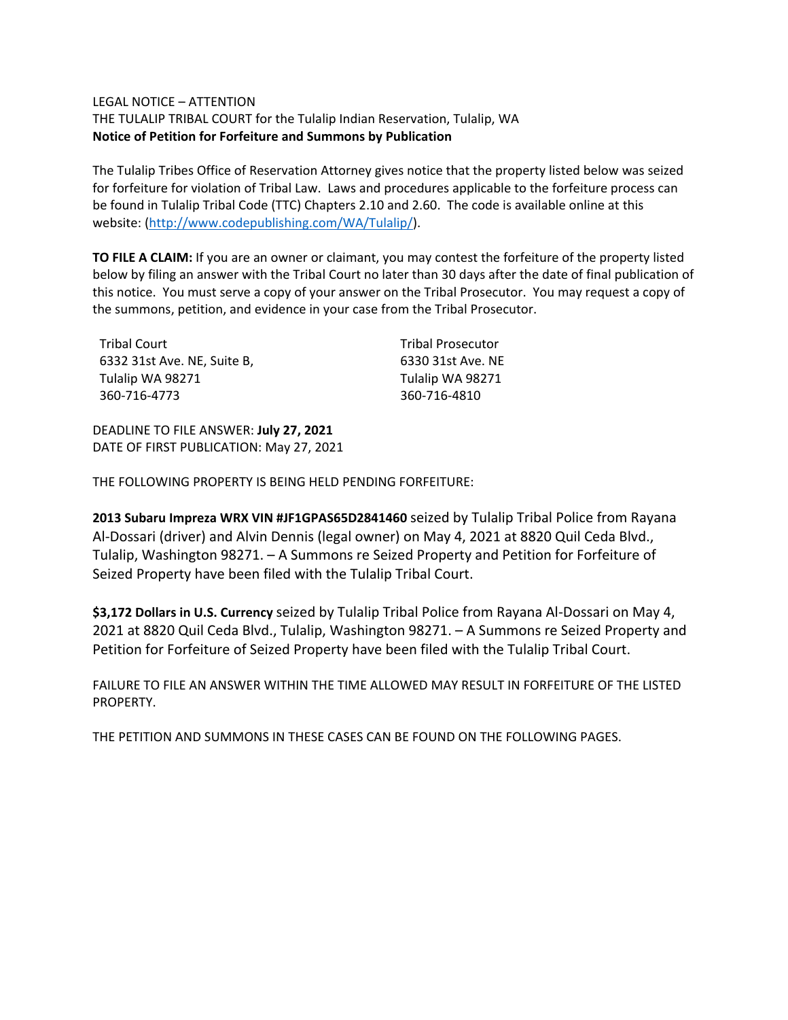### LEGAL NOTICE – ATTENTION

THE TULALIP TRIBAL COURT for the Tulalip Indian Reservation, Tulalip, WA **Notice of Petition for Forfeiture and Summons by Publication**

The Tulalip Tribes Office of Reservation Attorney gives notice that the property listed below was seized for forfeiture for violation of Tribal Law. Laws and procedures applicable to the forfeiture process can be found in Tulalip Tribal Code (TTC) Chapters 2.10 and 2.60. The code is available online at this website: [\(http://www.codepublishing.com/WA/Tulalip/\)](http://www.codepublishing.com/WA/Tulalip/).

**TO FILE A CLAIM:** If you are an owner or claimant, you may contest the forfeiture of the property listed below by filing an answer with the Tribal Court no later than 30 days after the date of final publication of this notice. You must serve a copy of your answer on the Tribal Prosecutor. You may request a copy of the summons, petition, and evidence in your case from the Tribal Prosecutor.

| <b>Tribal Court</b>         |
|-----------------------------|
| 6332 31st Ave. NE, Suite B, |
| Tulalip WA 98271            |
| 360-716-4773                |

Tribal Prosecutor 6330 31st Ave. NE Tulalip WA 98271 360-716-4810

DEADLINE TO FILE ANSWER: **July 27, 2021** DATE OF FIRST PUBLICATION: May 27, 2021

THE FOLLOWING PROPERTY IS BEING HELD PENDING FORFEITURE:

**2013 Subaru Impreza WRX VIN #JF1GPAS65D2841460** seized by Tulalip Tribal Police from Rayana Al-Dossari (driver) and Alvin Dennis (legal owner) on May 4, 2021 at 8820 Quil Ceda Blvd., Tulalip, Washington 98271. – A Summons re Seized Property and Petition for Forfeiture of Seized Property have been filed with the Tulalip Tribal Court.

**\$3,172 Dollars in U.S. Currency** seized by Tulalip Tribal Police from Rayana Al-Dossari on May 4, 2021 at 8820 Quil Ceda Blvd., Tulalip, Washington 98271. – A Summons re Seized Property and Petition for Forfeiture of Seized Property have been filed with the Tulalip Tribal Court.

FAILURE TO FILE AN ANSWER WITHIN THE TIME ALLOWED MAY RESULT IN FORFEITURE OF THE LISTED PROPERTY.

THE PETITION AND SUMMONS IN THESE CASES CAN BE FOUND ON THE FOLLOWING PAGES.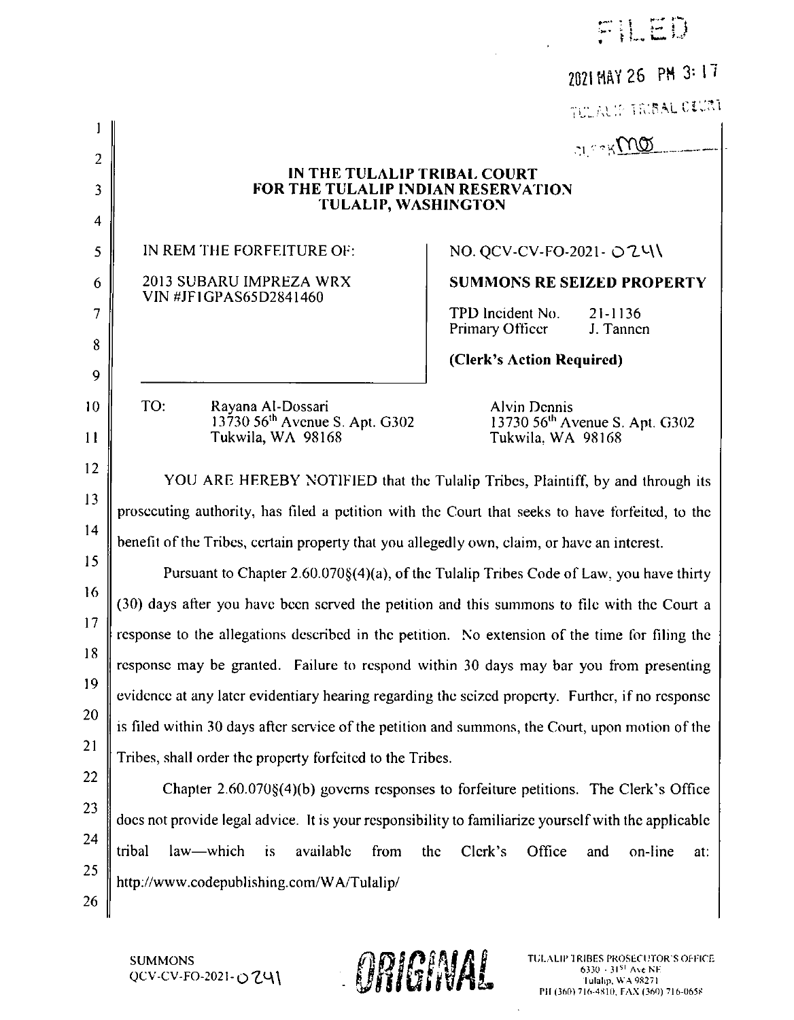| $-1.5$<br>de la | H.C | process de line | $\Xi$ ) ) |
|-----------------|-----|-----------------|-----------|
| $\bullet$       |     |                 |           |

 $\hat{\mathbf{r}}$ 

2021 MAY 26 PM 3: 17

 $\hbar$ l if tribal ofurt $\hbar$  .

|                                                   |                                                                                                        |                                          | TULALIP TRIBAL VAJINT                      |
|---------------------------------------------------|--------------------------------------------------------------------------------------------------------|------------------------------------------|--------------------------------------------|
|                                                   |                                                                                                        |                                          | $\alpha$ and                               |
|                                                   | IN THE TULALIP TRIBAL COURT<br><b>FOR THE TULALIP INDIAN RESERVATION</b><br><b>TULALIP, WASHINGTON</b> |                                          |                                            |
|                                                   | IN REM THE FORFEITURE OF:                                                                              | NO. QCV-CV-FO-2021 - ○Z4\                |                                            |
| 2013 SUBARU IMPREZA WRX<br>VIN #JF1GPAS65D2841460 |                                                                                                        |                                          | <b>SUMMONS RE SEIZED PROPERTY</b>          |
|                                                   |                                                                                                        | TPD Incident No.<br>Primary Officer      | $21 - 1136$<br>J. Tannen                   |
|                                                   |                                                                                                        | (Clerk's Action Required)                |                                            |
| TO:                                               | Rayana Al-Dossari<br>13730 56 <sup>th</sup> Avenue S. Apt. G302<br>Tukwila, WA 98168                   | <b>Alvin Dennis</b><br>Tukwila. WA 98168 | 13730 56 <sup>th</sup> Avenue S. Apt. G302 |
|                                                   | YOU ARE HEREBY NOTIFIED that the Tulalip Tribes, Plaintiff, by and through its                         |                                          |                                            |
|                                                   | prosecuting authority, has filed a petition with the Court that seeks to have forfeited, to the        |                                          |                                            |
|                                                   | benefit of the Tribes, certain property that you allegedly own, claim, or have an interest.            |                                          |                                            |
|                                                   | Pursuant to Chapter 2.60.070§(4)(a), of the Tulalip Tribes Code of Law, you have thirty                |                                          |                                            |
|                                                   | (30) days after you have been served the petition and this summons to file with the Court a            |                                          |                                            |
|                                                   | response to the allegations described in the petition. No extension of the time for filing the         |                                          |                                            |
|                                                   | response may be granted. Failure to respond within 30 days may bar you from presenting                 |                                          |                                            |
|                                                   | evidence at any later evidentiary hearing regarding the seized property. Further, if no response       |                                          |                                            |
|                                                   | is filed within 30 days after service of the petition and summons, the Court, upon motion of the       |                                          |                                            |
|                                                   | Tribes, shall order the property forfeited to the Tribes.                                              |                                          |                                            |
|                                                   |                                                                                                        |                                          |                                            |

22  $\begin{array}{c|c} 24 & \text{tribal} \end{array}$ Chapter  $2.60.070\$(4)$ (b) governs responses to forfeiture petitions. The Clerk's Office docs not provide legal advice. 1t is your responsibility to familiarize yourselfwith the applicable law—which is available from the Clerk's Office and on-line at: http://www.codepublishing.com/WA/Tulalip/

SUMMONS<br>QCV-CV-FO-2021-OZY

11

 $10$ 

 $\mathbf{I}$ 

 $\overline{2}$ 

 $\mathbf{3}$ 

 $\overline{4}$ 

5

6

 $\overline{7}$ 

 $\bf 8$ 

 $\overline{Q}$ 

12

13

14

15

16

17

18

19

20

21

23

25

26

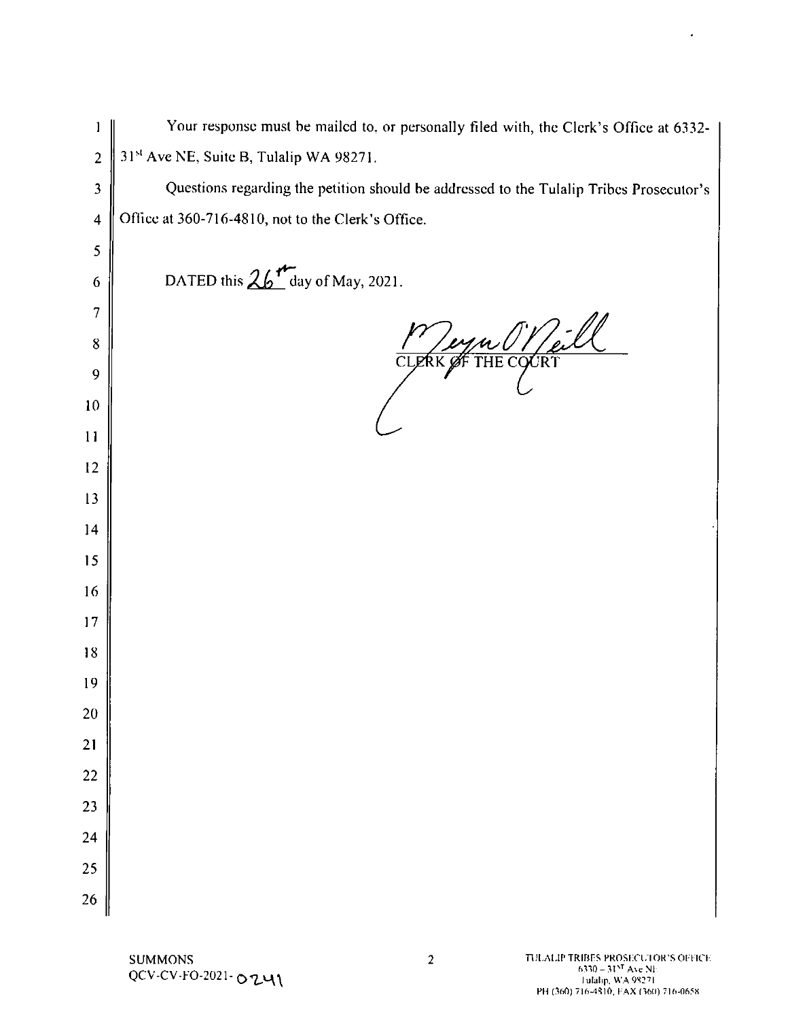Your response must be mailed to, or personally filed with, the Clerk's Office at 6332- $\mathbf{I}% =\mathbf{I}^{T}\mathbf{e}_{i}+\mathbf{I}^{T}\mathbf{e}_{i}+\mathbf{I}^{T}\mathbf{e}_{i}+\mathbf{I}^{T}\mathbf{e}_{i}+\mathbf{I}^{T}\mathbf{e}_{i}+\mathbf{I}^{T}\mathbf{e}_{i}+\mathbf{I}^{T}\mathbf{e}_{i}+\mathbf{I}^{T}\mathbf{e}_{i}+\mathbf{I}^{T}\mathbf{e}_{i}+\mathbf{I}^{T}\mathbf{e}_{i}+\mathbf{I}^{T}\mathbf{e}_{i}+\mathbf{I}^{T}\mathbf{e}_{i}+\mathbf{I}^{T}\mathbf{e}_{i}+\mathbf{I$ 31st Ave NE, Suite B, Tulalip WA 98271.  $\overline{2}$ Questions regarding the petition should be addressed to the Tulalip Tribes Prosecutor's  $\overline{\mathbf{3}}$ Office at 360-716-4810, not to the Clerk's Office.  $\overline{4}$ 5 DATED this  $26$ <sup>th</sup> day of May, 2021. 6  $\overline{7}$ <u>'eyn (1) / eill</u>  $8\phantom{1}$ 9  $10$  $11$ 12 13  $14$ 15 16  $17$ 18 19 20 21 22 23 24 25 26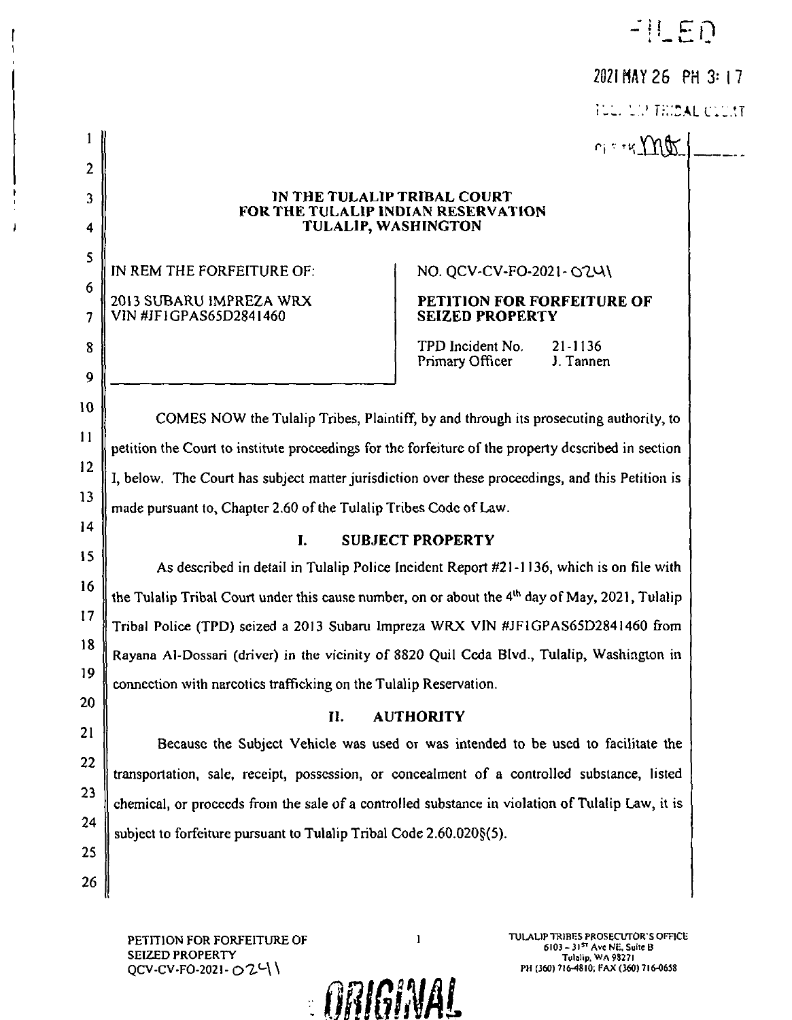$-||ED$ 

# 2021 MAY 26 PH 3: 17

TULE LIP THINAL CLUST

 $r_1$ :  $r_4$  Mor |

### IN THE TULALIP TRIBAL COURT FOR THE TULALIP INDIAN RESERVATION **TULALIP, WASHINGTON**

IN REM THE FORFEITURE OF: 2013 SUBARU IMPREZA WRX VIN #JF1GPAS65D2841460

 $\mathbf{1}$ 

 $\overline{2}$ 

3

4

5

6

 $\overline{7}$ 

8

 $\overline{9}$ 

 $10$ 

11

 $12$ 

 $13$ 

 $14$ 

15

16

 $17$ 

18

19

20

21

22

23

24

25

26

NO. QCV-CV-FO-2021-0241

## PETITION FOR FORFEITURE OF **SEIZED PROPERTY**

TPD Incident No. 21-1136 J. Tannen Primary Officer

COMES NOW the Tulalip Tribes, Plaintiff, by and through its prosecuting authority, to petition the Court to institute proceedings for the forfeiture of the property described in section I, below. The Court has subject matter jurisdiction over these proceedings, and this Petition is made pursuant to, Chapter 2.60 of the Tulalip Tribes Code of Law.

#### $\mathbf{L}$ **SUBJECT PROPERTY**

As described in detail in Tulalip Police Incident Report #21-1136, which is on file with the Tulalip Tribal Court under this cause number, on or about the 4<sup>th</sup> day of May, 2021, Tulalip Tribal Police (TPD) seized a 2013 Subaru Impreza WRX VIN #JF1GPAS65D2841460 from Rayana Al-Dossari (driver) in the vicinity of 8820 Quil Ceda Blvd., Tulalip, Washington in connection with narcotics trafficking on the Tulalip Reservation.

#### $\Pi$ . **AUTHORITY**

Because the Subject Vehicle was used or was intended to be used to facilitate the transportation, sale, receipt, possession, or concealment of a controlled substance, listed chemical, or proceeds from the sale of a controlled substance in violation of Tulalip Law, it is subject to forfeiture pursuant to Tulalip Tribal Code 2.60.020§(5).

PETITION FOR FORFEITURE OF **SEIZED PROPERTY** 0CV-CV-FO-2021- 024\

 $\mathbf{1}$ 

**ARIGINAL** 

TULALIP TRIBES PROSECUTOR'S OFFICE 6103 - 3157 Ave NE, Suite B Tulalip, WA 98271 PH (360) 716-4810; FAX (360) 716-0658